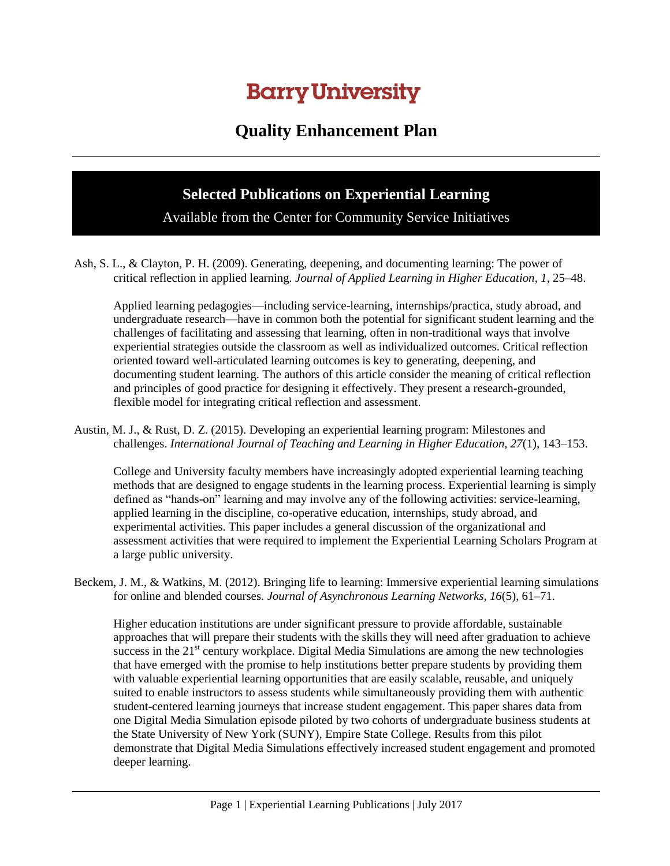## **Barry University**

## **Quality Enhancement Plan**

## **Selected Publications on Experiential Learning**

Available from the Center for Community Service Initiatives

Ash, S. L., & Clayton, P. H. (2009). Generating, deepening, and documenting learning: The power of critical reflection in applied learning*. Journal of Applied Learning in Higher Education, 1*, 25–48.

Applied learning pedagogies—including service-learning, internships/practica, study abroad, and undergraduate research—have in common both the potential for significant student learning and the challenges of facilitating and assessing that learning, often in non-traditional ways that involve experiential strategies outside the classroom as well as individualized outcomes. Critical reflection oriented toward well-articulated learning outcomes is key to generating, deepening, and documenting student learning. The authors of this article consider the meaning of critical reflection and principles of good practice for designing it effectively. They present a research-grounded, flexible model for integrating critical reflection and assessment.

Austin, M. J., & Rust, D. Z. (2015). Developing an experiential learning program: Milestones and challenges. *International Journal of Teaching and Learning in Higher Education, 27*(1), 143–153.

College and University faculty members have increasingly adopted experiential learning teaching methods that are designed to engage students in the learning process. Experiential learning is simply defined as "hands-on" learning and may involve any of the following activities: service-learning, applied learning in the discipline, co-operative education, internships, study abroad, and experimental activities. This paper includes a general discussion of the organizational and assessment activities that were required to implement the Experiential Learning Scholars Program at a large public university.

Beckem, J. M., & Watkins, M. (2012). Bringing life to learning: Immersive experiential learning simulations for online and blended courses. *Journal of Asynchronous Learning Networks, 16*(5), 61–71.

Higher education institutions are under significant pressure to provide affordable, sustainable approaches that will prepare their students with the skills they will need after graduation to achieve success in the  $21<sup>st</sup>$  century workplace. Digital Media Simulations are among the new technologies that have emerged with the promise to help institutions better prepare students by providing them with valuable experiential learning opportunities that are easily scalable, reusable, and uniquely suited to enable instructors to assess students while simultaneously providing them with authentic student-centered learning journeys that increase student engagement. This paper shares data from one Digital Media Simulation episode piloted by two cohorts of undergraduate business students at the State University of New York (SUNY), Empire State College. Results from this pilot demonstrate that Digital Media Simulations effectively increased student engagement and promoted deeper learning.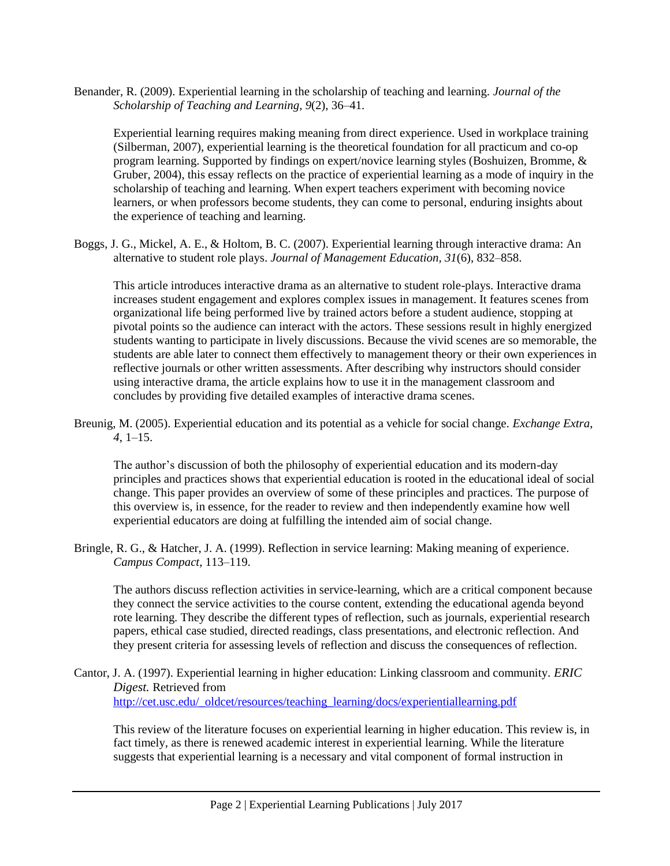Benander, R. (2009). Experiential learning in the scholarship of teaching and learning. *Journal of the Scholarship of Teaching and Learning, 9*(2), 36–41.

Experiential learning requires making meaning from direct experience. Used in workplace training (Silberman, 2007), experiential learning is the theoretical foundation for all practicum and co-op program learning. Supported by findings on expert/novice learning styles (Boshuizen, Bromme, & Gruber, 2004), this essay reflects on the practice of experiential learning as a mode of inquiry in the scholarship of teaching and learning. When expert teachers experiment with becoming novice learners, or when professors become students, they can come to personal, enduring insights about the experience of teaching and learning.

Boggs, J. G., Mickel, A. E., & Holtom, B. C. (2007). Experiential learning through interactive drama: An alternative to student role plays. *Journal of Management Education, 31*(6), 832–858.

This article introduces interactive drama as an alternative to student role-plays. Interactive drama increases student engagement and explores complex issues in management. It features scenes from organizational life being performed live by trained actors before a student audience, stopping at pivotal points so the audience can interact with the actors. These sessions result in highly energized students wanting to participate in lively discussions. Because the vivid scenes are so memorable, the students are able later to connect them effectively to management theory or their own experiences in reflective journals or other written assessments. After describing why instructors should consider using interactive drama, the article explains how to use it in the management classroom and concludes by providing five detailed examples of interactive drama scenes.

Breunig, M. (2005). Experiential education and its potential as a vehicle for social change. *Exchange Extra*, *4*, 1–15.

The author's discussion of both the philosophy of experiential education and its modern-day principles and practices shows that experiential education is rooted in the educational ideal of social change. This paper provides an overview of some of these principles and practices. The purpose of this overview is, in essence, for the reader to review and then independently examine how well experiential educators are doing at fulfilling the intended aim of social change.

Bringle, R. G., & Hatcher, J. A. (1999). Reflection in service learning: Making meaning of experience. *Campus Compact*, 113–119.

The authors discuss reflection activities in service-learning, which are a critical component because they connect the service activities to the course content, extending the educational agenda beyond rote learning. They describe the different types of reflection, such as journals, experiential research papers, ethical case studied, directed readings, class presentations, and electronic reflection. And they present criteria for assessing levels of reflection and discuss the consequences of reflection.

Cantor, J. A. (1997). Experiential learning in higher education: Linking classroom and community. *ERIC Digest.* Retrieved from [http://cet.usc.edu/\\_oldcet/resources/teaching\\_learning/docs/experientiallearning.pdf](http://cet.usc.edu/_oldcet/resources/teaching_learning/docs/experientiallearning.pdf)

This review of the literature focuses on experiential learning in higher education. This review is, in fact timely, as there is renewed academic interest in experiential learning. While the literature suggests that experiential learning is a necessary and vital component of formal instruction in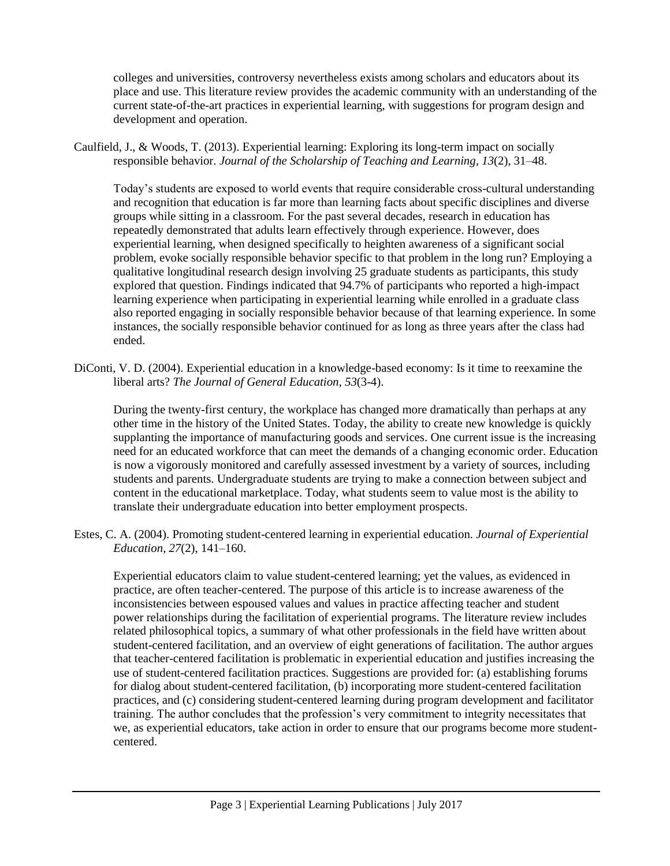colleges and universities, controversy nevertheless exists among scholars and educators about its place and use. This literature review provides the academic community with an understanding of the current state-of-the-art practices in experiential learning, with suggestions for program design and development and operation.

Caulfield, J., & Woods, T. (2013). Experiential learning: Exploring its long-term impact on socially responsible behavior. *Journal of the Scholarship of Teaching and Learning, 13*(2), 31–48.

Today's students are exposed to world events that require considerable cross-cultural understanding and recognition that education is far more than learning facts about specific disciplines and diverse groups while sitting in a classroom. For the past several decades, research in education has repeatedly demonstrated that adults learn effectively through experience. However, does experiential learning, when designed specifically to heighten awareness of a significant social problem, evoke socially responsible behavior specific to that problem in the long run? Employing a qualitative longitudinal research design involving 25 graduate students as participants, this study explored that question. Findings indicated that 94.7% of participants who reported a high-impact learning experience when participating in experiential learning while enrolled in a graduate class also reported engaging in socially responsible behavior because of that learning experience. In some instances, the socially responsible behavior continued for as long as three years after the class had ended.

DiConti, V. D. (2004). Experiential education in a knowledge-based economy: Is it time to reexamine the liberal arts? *The Journal of General Education, 53*(3-4).

During the twenty-first century, the workplace has changed more dramatically than perhaps at any other time in the history of the United States. Today, the ability to create new knowledge is quickly supplanting the importance of manufacturing goods and services. One current issue is the increasing need for an educated workforce that can meet the demands of a changing economic order. Education is now a vigorously monitored and carefully assessed investment by a variety of sources, including students and parents. Undergraduate students are trying to make a connection between subject and content in the educational marketplace. Today, what students seem to value most is the ability to translate their undergraduate education into better employment prospects.

Estes, C. A. (2004). Promoting student-centered learning in experiential education. *Journal of Experiential Education, 27*(2), 141–160.

Experiential educators claim to value student-centered learning; yet the values, as evidenced in practice, are often teacher-centered. The purpose of this article is to increase awareness of the inconsistencies between espoused values and values in practice affecting teacher and student power relationships during the facilitation of experiential programs. The literature review includes related philosophical topics, a summary of what other professionals in the field have written about student-centered facilitation, and an overview of eight generations of facilitation. The author argues that teacher-centered facilitation is problematic in experiential education and justifies increasing the use of student-centered facilitation practices. Suggestions are provided for: (a) establishing forums for dialog about student-centered facilitation, (b) incorporating more student-centered facilitation practices, and (c) considering student-centered learning during program development and facilitator training. The author concludes that the profession's very commitment to integrity necessitates that we, as experiential educators, take action in order to ensure that our programs become more studentcentered.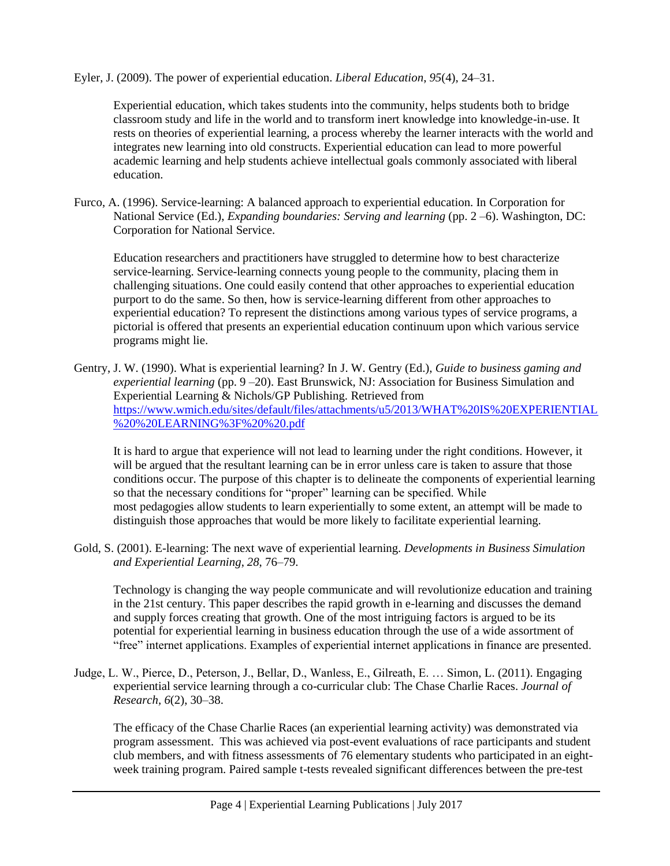Eyler, J. (2009). The power of experiential education. *Liberal Education*, *95*(4), 24–31.

Experiential education, which takes students into the community, helps students both to bridge classroom study and life in the world and to transform inert knowledge into knowledge-in-use. It rests on theories of experiential learning, a process whereby the learner interacts with the world and integrates new learning into old constructs. Experiential education can lead to more powerful academic learning and help students achieve intellectual goals commonly associated with liberal education.

Furco, A. (1996). Service-learning: A balanced approach to experiential education. In Corporation for National Service (Ed.), *Expanding boundaries: Serving and learning* (pp. 2 –6). Washington, DC: Corporation for National Service.

Education researchers and practitioners have struggled to determine how to best characterize service-learning. Service-learning connects young people to the community, placing them in challenging situations. One could easily contend that other approaches to experiential education purport to do the same. So then, how is service-learning different from other approaches to experiential education? To represent the distinctions among various types of service programs, a pictorial is offered that presents an experiential education continuum upon which various service programs might lie.

Gentry, J. W. (1990). What is experiential learning? In J. W. Gentry (Ed.), *Guide to business gaming and experiential learning* (pp. 9 –20). East Brunswick, NJ: Association for Business Simulation and Experiential Learning & Nichols/GP Publishing. Retrieved from [https://www.wmich.edu/sites/default/files/attachments/u5/2013/WHAT%20IS%20EXPERIENTIAL](https://www.wmich.edu/sites/default/files/attachments/u5/2013/WHAT%20IS%20EXPERIENTIAL%20%20LEARNING%3F%20%20.pdf) [%20%20LEARNING%3F%20%20.pdf](https://www.wmich.edu/sites/default/files/attachments/u5/2013/WHAT%20IS%20EXPERIENTIAL%20%20LEARNING%3F%20%20.pdf)

It is hard to argue that experience will not lead to learning under the right conditions. However, it will be argued that the resultant learning can be in error unless care is taken to assure that those conditions occur. The purpose of this chapter is to delineate the components of experiential learning so that the necessary conditions for "proper" learning can be specified. While most pedagogies allow students to learn experientially to some extent, an attempt will be made to distinguish those approaches that would be more likely to facilitate experiential learning.

Gold, S. (2001). E-learning: The next wave of experiential learning. *Developments in Business Simulation and Experiential Learning*, *28*, 76–79.

Technology is changing the way people communicate and will revolutionize education and training in the 21st century. This paper describes the rapid growth in e-learning and discusses the demand and supply forces creating that growth. One of the most intriguing factors is argued to be its potential for experiential learning in business education through the use of a wide assortment of "free" internet applications. Examples of experiential internet applications in finance are presented.

Judge, L. W., Pierce, D., Peterson, J., Bellar, D., Wanless, E., Gilreath, E. … Simon, L. (2011). Engaging experiential service learning through a co-curricular club: The Chase Charlie Races. *Journal of Research, 6*(2), 30–38.

The efficacy of the Chase Charlie Races (an experiential learning activity) was demonstrated via program assessment. This was achieved via post-event evaluations of race participants and student club members, and with fitness assessments of 76 elementary students who participated in an eightweek training program. Paired sample t-tests revealed significant differences between the pre-test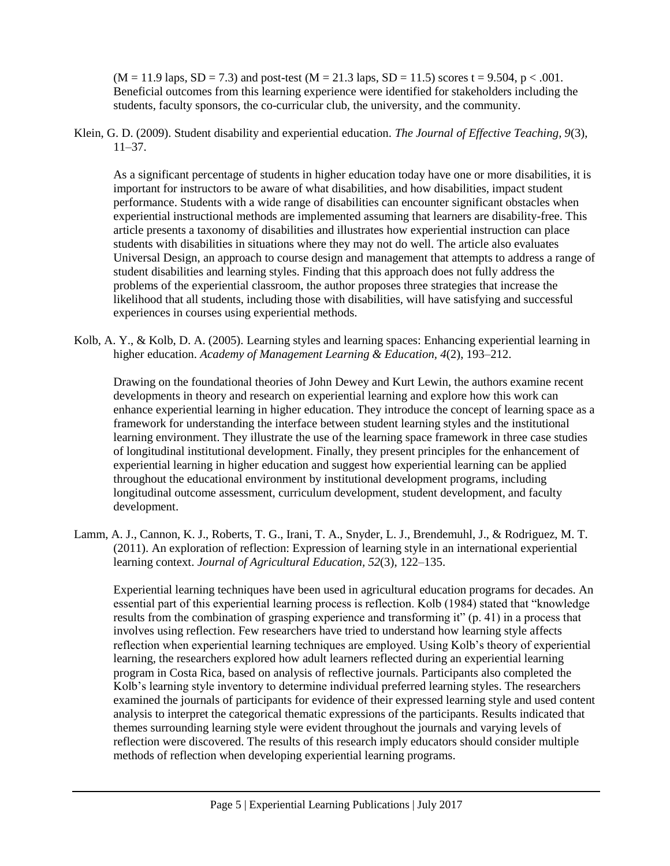$(M = 11.9$  laps,  $SD = 7.3$  and post-test  $(M = 21.3$  laps,  $SD = 11.5$  scores t = 9.504, p < .001. Beneficial outcomes from this learning experience were identified for stakeholders including the students, faculty sponsors, the co-curricular club, the university, and the community.

Klein, G. D. (2009). Student disability and experiential education. *The Journal of Effective Teaching, 9*(3),  $11-37$ .

As a significant percentage of students in higher education today have one or more disabilities, it is important for instructors to be aware of what disabilities, and how disabilities, impact student performance. Students with a wide range of disabilities can encounter significant obstacles when experiential instructional methods are implemented assuming that learners are disability-free. This article presents a taxonomy of disabilities and illustrates how experiential instruction can place students with disabilities in situations where they may not do well. The article also evaluates Universal Design, an approach to course design and management that attempts to address a range of student disabilities and learning styles. Finding that this approach does not fully address the problems of the experiential classroom, the author proposes three strategies that increase the likelihood that all students, including those with disabilities, will have satisfying and successful experiences in courses using experiential methods.

Kolb, A. Y., & Kolb, D. A. (2005). Learning styles and learning spaces: Enhancing experiential learning in higher education. *Academy of Management Learning & Education, 4*(2), 193–212.

Drawing on the foundational theories of John Dewey and Kurt Lewin, the authors examine recent developments in theory and research on experiential learning and explore how this work can enhance experiential learning in higher education. They introduce the concept of learning space as a framework for understanding the interface between student learning styles and the institutional learning environment. They illustrate the use of the learning space framework in three case studies of longitudinal institutional development. Finally, they present principles for the enhancement of experiential learning in higher education and suggest how experiential learning can be applied throughout the educational environment by institutional development programs, including longitudinal outcome assessment, curriculum development, student development, and faculty development.

Lamm, A. J., Cannon, K. J., Roberts, T. G., Irani, T. A., Snyder, L. J., Brendemuhl, J., & Rodriguez, M. T. (2011). An exploration of reflection: Expression of learning style in an international experiential learning context. *Journal of Agricultural Education, 52*(3), 122–135.

Experiential learning techniques have been used in agricultural education programs for decades. An essential part of this experiential learning process is reflection. Kolb (1984) stated that "knowledge results from the combination of grasping experience and transforming it" (p. 41) in a process that involves using reflection. Few researchers have tried to understand how learning style affects reflection when experiential learning techniques are employed. Using Kolb's theory of experiential learning, the researchers explored how adult learners reflected during an experiential learning program in Costa Rica, based on analysis of reflective journals. Participants also completed the Kolb's learning style inventory to determine individual preferred learning styles. The researchers examined the journals of participants for evidence of their expressed learning style and used content analysis to interpret the categorical thematic expressions of the participants. Results indicated that themes surrounding learning style were evident throughout the journals and varying levels of reflection were discovered. The results of this research imply educators should consider multiple methods of reflection when developing experiential learning programs.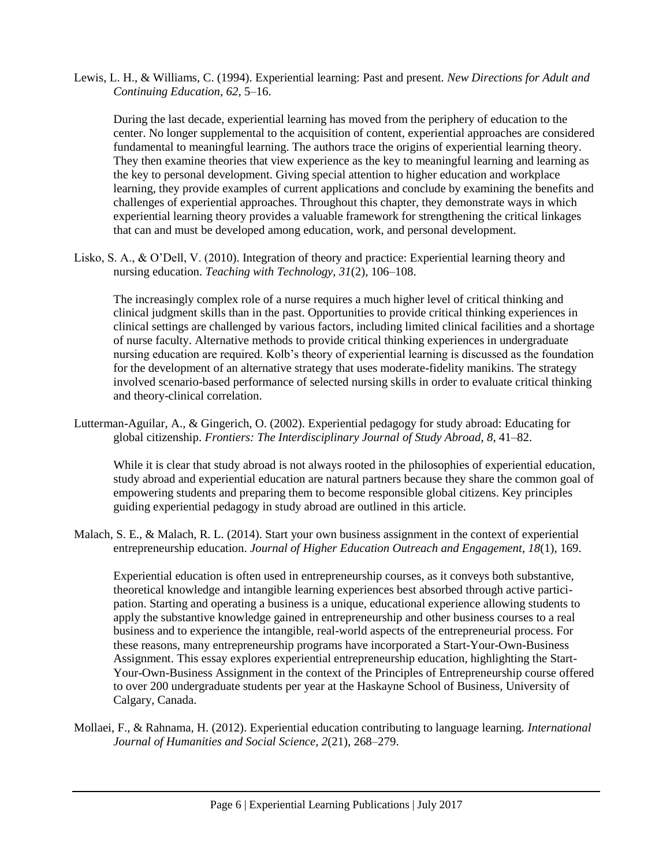Lewis, L. H., & Williams, C. (1994). Experiential learning: Past and present. *New Directions for Adult and Continuing Education, 62*, 5–16.

During the last decade, experiential learning has moved from the periphery of education to the center. No longer supplemental to the acquisition of content, experiential approaches are considered fundamental to meaningful learning. The authors trace the origins of experiential learning theory. They then examine theories that view experience as the key to meaningful learning and learning as the key to personal development. Giving special attention to higher education and workplace learning, they provide examples of current applications and conclude by examining the benefits and challenges of experiential approaches. Throughout this chapter, they demonstrate ways in which experiential learning theory provides a valuable framework for strengthening the critical linkages that can and must be developed among education, work, and personal development.

Lisko, S. A., & O'Dell, V. (2010). Integration of theory and practice: Experiential learning theory and nursing education. *Teaching with Technology, 31*(2), 106–108.

The increasingly complex role of a nurse requires a much higher level of critical thinking and clinical judgment skills than in the past. Opportunities to provide critical thinking experiences in clinical settings are challenged by various factors, including limited clinical facilities and a shortage of nurse faculty. Alternative methods to provide critical thinking experiences in undergraduate nursing education are required. Kolb's theory of experiential learning is discussed as the foundation for the development of an alternative strategy that uses moderate-fidelity manikins. The strategy involved scenario-based performance of selected nursing skills in order to evaluate critical thinking and theory-clinical correlation.

Lutterman-Aguilar, A., & Gingerich, O. (2002). Experiential pedagogy for study abroad: Educating for global citizenship. *Frontiers: The Interdisciplinary Journal of Study Abroad*, *8*, 41–82.

While it is clear that study abroad is not always rooted in the philosophies of experiential education, study abroad and experiential education are natural partners because they share the common goal of empowering students and preparing them to become responsible global citizens. Key principles guiding experiential pedagogy in study abroad are outlined in this article.

Malach, S. E., & Malach, R. L. (2014). Start your own business assignment in the context of experiential entrepreneurship education. *Journal of Higher Education Outreach and Engagement, 18*(1), 169.

Experiential education is often used in entrepreneurship courses, as it conveys both substantive, theoretical knowledge and intangible learning experiences best absorbed through active participation. Starting and operating a business is a unique, educational experience allowing students to apply the substantive knowledge gained in entrepreneurship and other business courses to a real business and to experience the intangible, real-world aspects of the entrepreneurial process. For these reasons, many entrepreneurship programs have incorporated a Start-Your-Own-Business Assignment. This essay explores experiential entrepreneurship education, highlighting the Start-Your-Own-Business Assignment in the context of the Principles of Entrepreneurship course offered to over 200 undergraduate students per year at the Haskayne School of Business, University of Calgary, Canada.

Mollaei, F., & Rahnama, H. (2012). Experiential education contributing to language learning. *International Journal of Humanities and Social Science, 2*(21), 268–279.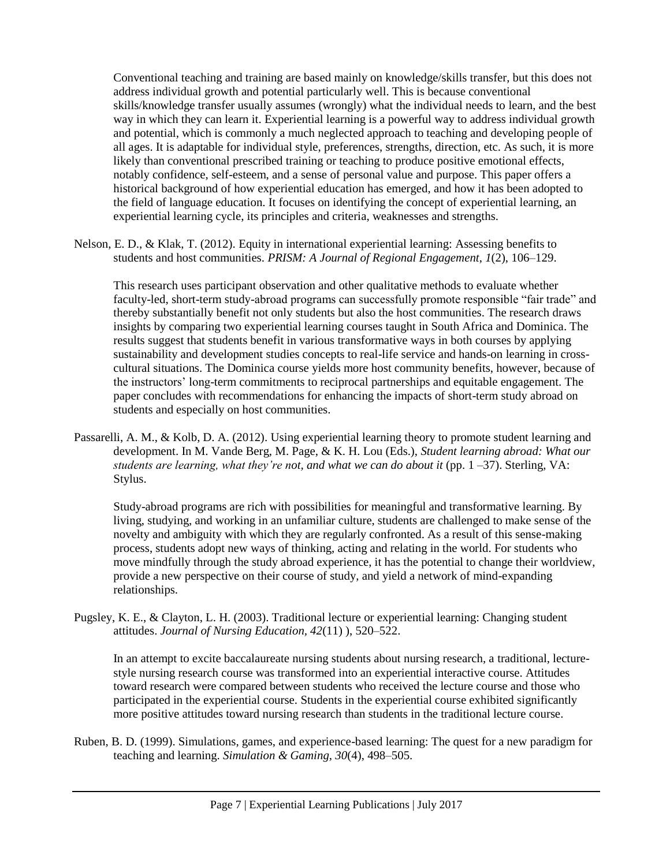Conventional teaching and training are based mainly on knowledge/skills transfer, but this does not address individual growth and potential particularly well. This is because conventional skills/knowledge transfer usually assumes (wrongly) what the individual needs to learn, and the best way in which they can learn it. Experiential learning is a powerful way to address individual growth and potential, which is commonly a much neglected approach to teaching and developing people of all ages. It is adaptable for individual style, preferences, strengths, direction, etc. As such, it is more likely than conventional prescribed training or teaching to produce positive emotional effects, notably confidence, self-esteem, and a sense of personal value and purpose. This paper offers a historical background of how experiential education has emerged, and how it has been adopted to the field of language education. It focuses on identifying the concept of experiential learning, an experiential learning cycle, its principles and criteria, weaknesses and strengths.

Nelson, E. D., & Klak, T. (2012). Equity in international experiential learning: Assessing benefits to students and host communities. *PRISM: A Journal of Regional Engagement*, *1*(2), 106–129.

This research uses participant observation and other qualitative methods to evaluate whether faculty-led, short-term study-abroad programs can successfully promote responsible "fair trade" and thereby substantially benefit not only students but also the host communities. The research draws insights by comparing two experiential learning courses taught in South Africa and Dominica. The results suggest that students benefit in various transformative ways in both courses by applying sustainability and development studies concepts to real-life service and hands-on learning in crosscultural situations. The Dominica course yields more host community benefits, however, because of the instructors' long-term commitments to reciprocal partnerships and equitable engagement. The paper concludes with recommendations for enhancing the impacts of short-term study abroad on students and especially on host communities.

Passarelli, A. M., & Kolb, D. A. (2012). Using experiential learning theory to promote student learning and development. In M. Vande Berg, M. Page, & K. H. Lou (Eds.), *Student learning abroad: What our students are learning, what they're not, and what we can do about it* (pp. 1 –37). Sterling, VA: Stylus.

Study-abroad programs are rich with possibilities for meaningful and transformative learning. By living, studying, and working in an unfamiliar culture, students are challenged to make sense of the novelty and ambiguity with which they are regularly confronted. As a result of this sense-making process, students adopt new ways of thinking, acting and relating in the world. For students who move mindfully through the study abroad experience, it has the potential to change their worldview, provide a new perspective on their course of study, and yield a network of mind-expanding relationships.

Pugsley, K. E., & Clayton, L. H. (2003). Traditional lecture or experiential learning: Changing student attitudes. *Journal of Nursing Education, 42*(11) ), 520–522.

In an attempt to excite baccalaureate nursing students about nursing research, a traditional, lecturestyle nursing research course was transformed into an experiential interactive course. Attitudes toward research were compared between students who received the lecture course and those who participated in the experiential course. Students in the experiential course exhibited significantly more positive attitudes toward nursing research than students in the traditional lecture course.

Ruben, B. D. (1999). Simulations, games, and experience-based learning: The quest for a new paradigm for teaching and learning. *Simulation & Gaming, 30*(4), 498–505.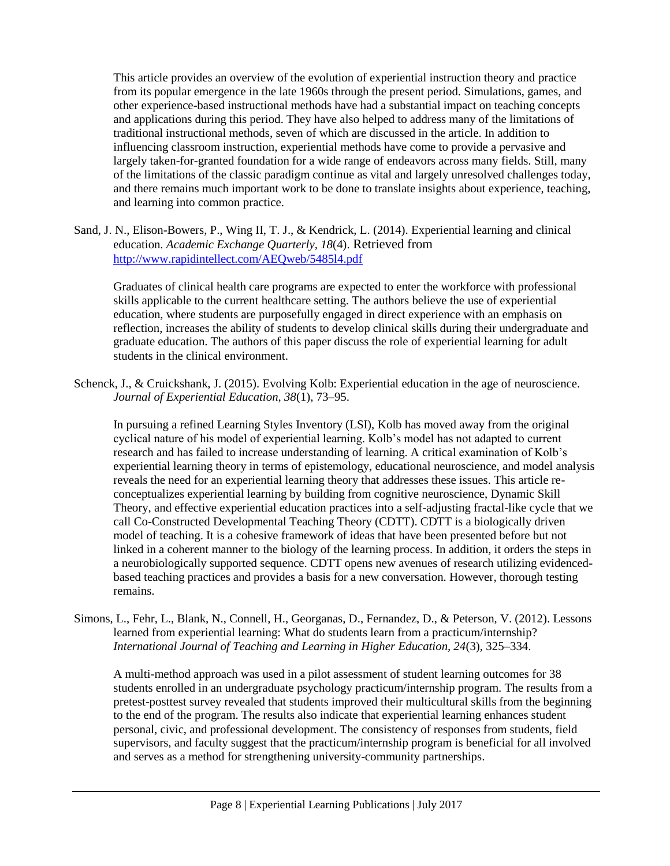This article provides an overview of the evolution of experiential instruction theory and practice from its popular emergence in the late 1960s through the present period. Simulations, games, and other experience-based instructional methods have had a substantial impact on teaching concepts and applications during this period. They have also helped to address many of the limitations of traditional instructional methods, seven of which are discussed in the article. In addition to influencing classroom instruction, experiential methods have come to provide a pervasive and largely taken-for-granted foundation for a wide range of endeavors across many fields. Still, many of the limitations of the classic paradigm continue as vital and largely unresolved challenges today, and there remains much important work to be done to translate insights about experience, teaching, and learning into common practice.

Sand, J. N., Elison-Bowers, P., Wing II, T. J., & Kendrick, L. (2014). Experiential learning and clinical education. *Academic Exchange Quarterly, 18*(4). Retrieved from <http://www.rapidintellect.com/AEQweb/5485l4.pdf>

Graduates of clinical health care programs are expected to enter the workforce with professional skills applicable to the current healthcare setting. The authors believe the use of experiential education, where students are purposefully engaged in direct experience with an emphasis on reflection, increases the ability of students to develop clinical skills during their undergraduate and graduate education. The authors of this paper discuss the role of experiential learning for adult students in the clinical environment.

Schenck, J., & Cruickshank, J. (2015). Evolving Kolb: Experiential education in the age of neuroscience. *Journal of Experiential Education, 38*(1), 73–95.

In pursuing a refined Learning Styles Inventory (LSI), Kolb has moved away from the original cyclical nature of his model of experiential learning. Kolb's model has not adapted to current research and has failed to increase understanding of learning. A critical examination of Kolb's experiential learning theory in terms of epistemology, educational neuroscience, and model analysis reveals the need for an experiential learning theory that addresses these issues. This article reconceptualizes experiential learning by building from cognitive neuroscience, Dynamic Skill Theory, and effective experiential education practices into a self-adjusting fractal-like cycle that we call Co-Constructed Developmental Teaching Theory (CDTT). CDTT is a biologically driven model of teaching. It is a cohesive framework of ideas that have been presented before but not linked in a coherent manner to the biology of the learning process. In addition, it orders the steps in a neurobiologically supported sequence. CDTT opens new avenues of research utilizing evidencedbased teaching practices and provides a basis for a new conversation. However, thorough testing remains.

Simons, L., Fehr, L., Blank, N., Connell, H., Georganas, D., Fernandez, D., & Peterson, V. (2012). Lessons learned from experiential learning: What do students learn from a practicum/internship? *International Journal of Teaching and Learning in Higher Education, 24*(3), 325–334.

A multi-method approach was used in a pilot assessment of student learning outcomes for 38 students enrolled in an undergraduate psychology practicum/internship program. The results from a pretest-posttest survey revealed that students improved their multicultural skills from the beginning to the end of the program. The results also indicate that experiential learning enhances student personal, civic, and professional development. The consistency of responses from students, field supervisors, and faculty suggest that the practicum/internship program is beneficial for all involved and serves as a method for strengthening university-community partnerships.